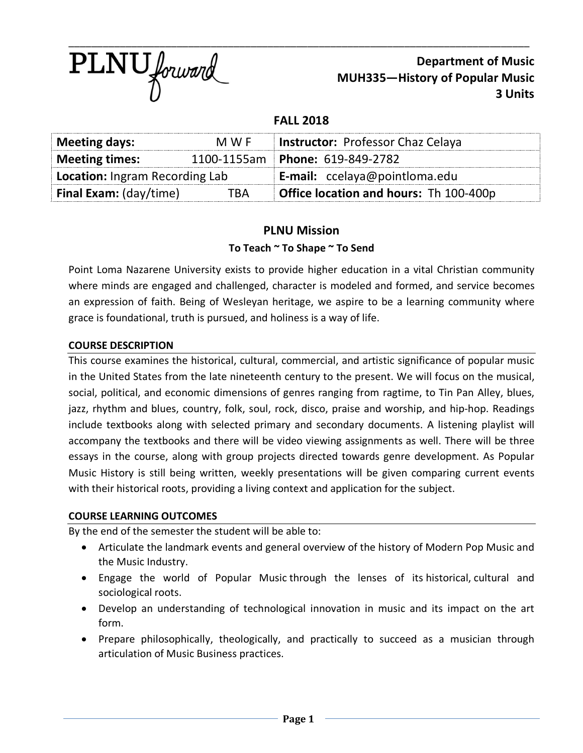

# **Department of Music MUH335—History of Popular Music 3 Units**

## **FALL 2018**

| <b>Meeting days:</b>           | M W F | <b>Instructor: Professor Chaz Celaya</b>      |  |
|--------------------------------|-------|-----------------------------------------------|--|
| Meeting times:                 |       | 1100-1155am   Phone: 619-849-2782             |  |
| Location: Ingram Recording Lab |       | <b>E-mail:</b> ccelaya@pointloma.edu          |  |
| <b>Final Exam:</b> (day/time)  | TRA   | <b>Office location and hours:</b> Th 100-400p |  |

## **PLNU Mission**

#### **To Teach ~ To Shape ~ To Send**

Point Loma Nazarene University exists to provide higher education in a vital Christian community where minds are engaged and challenged, character is modeled and formed, and service becomes an expression of faith. Being of Wesleyan heritage, we aspire to be a learning community where grace is foundational, truth is pursued, and holiness is a way of life.

#### **COURSE DESCRIPTION**

This course examines the historical, cultural, commercial, and artistic significance of popular music in the United States from the late nineteenth century to the present. We will focus on the musical, social, political, and economic dimensions of genres ranging from ragtime, to Tin Pan Alley, blues, jazz, rhythm and blues, country, folk, soul, rock, disco, praise and worship, and hip-hop. Readings include textbooks along with selected primary and secondary documents. A listening playlist will accompany the textbooks and there will be video viewing assignments as well. There will be three essays in the course, along with group projects directed towards genre development. As Popular Music History is still being written, weekly presentations will be given comparing current events with their historical roots, providing a living context and application for the subject.

#### **COURSE LEARNING OUTCOMES**

By the end of the semester the student will be able to:

- Articulate the landmark events and general overview of the history of Modern Pop Music and the Music Industry.
- Engage the world of Popular Music through the lenses of its historical, cultural and sociological roots.
- Develop an understanding of technological innovation in music and its impact on the art form.
- Prepare philosophically, theologically, and practically to succeed as a musician through articulation of Music Business practices.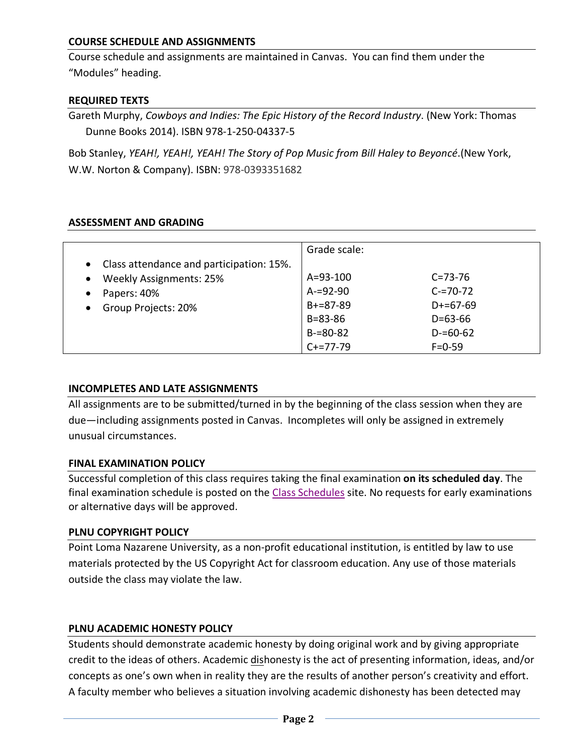## **COURSE SCHEDULE AND ASSIGNMENTS**

Course schedule and assignments are maintained in Canvas. You can find them under the "Modules" heading.

#### **REQUIRED TEXTS**

Gareth Murphy, *Cowboys and Indies: The Epic History of the Record Industry*. (New York: Thomas Dunne Books 2014). ISBN 978-1-250-04337-5

Bob Stanley, *YEAH!, YEAH!, YEAH! The Story of Pop Music from Bill Haley to Beyoncé*.(New York, W.W. Norton & Company). ISBN: 978-0393351682

#### **ASSESSMENT AND GRADING**

|                                            | Grade scale:  |               |
|--------------------------------------------|---------------|---------------|
| • Class attendance and participation: 15%. |               |               |
| <b>Weekly Assignments: 25%</b>             | A=93-100      | $C = 73 - 76$ |
| Papers: 40%<br>$\bullet$                   | $A = 92 - 90$ | $C = 70 - 72$ |
| Group Projects: 20%<br>$\bullet$           | $B+=87-89$    | $D+=67-69$    |
|                                            | $B = 83 - 86$ | $D = 63 - 66$ |
|                                            | $B = 80 - 82$ | $D = 60 - 62$ |
|                                            | $C+=77-79$    | $F = 0 - 59$  |

#### **INCOMPLETES AND LATE ASSIGNMENTS**

All assignments are to be submitted/turned in by the beginning of the class session when they are due—including assignments posted in Canvas. Incompletes will only be assigned in extremely unusual circumstances.

#### **FINAL EXAMINATION POLICY**

Successful completion of this class requires taking the final examination **on its scheduled day**. The final examination schedule is posted on the Class Schedules site. No requests for early examinations or alternative days will be approved.

#### **PLNU COPYRIGHT POLICY**

Point Loma Nazarene University, as a non-profit educational institution, is entitled by law to use materials protected by the US Copyright Act for classroom education. Any use of those materials outside the class may violate the law.

#### **PLNU ACADEMIC HONESTY POLICY**

Students should demonstrate academic honesty by doing original work and by giving appropriate credit to the ideas of others. Academic dishonesty is the act of presenting information, ideas, and/or concepts as one's own when in reality they are the results of another person's creativity and effort. A faculty member who believes a situation involving academic dishonesty has been detected may